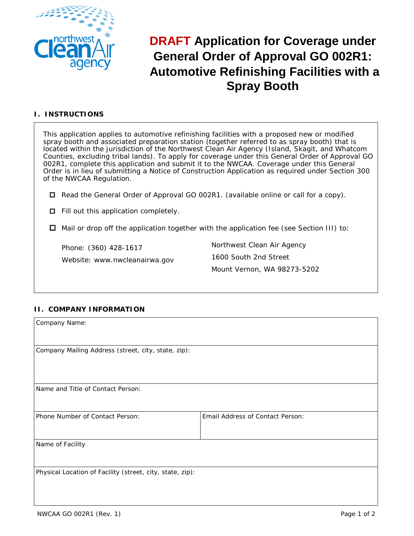

# **DRAFT Application for Coverage under General Order of Approval GO 002R1: Automotive Refinishing Facilities with a Spray Booth**

# **I. INSTRUCTIONS**

This application applies to automotive refinishing facilities with a proposed new or modified spray booth and associated preparation station (together referred to as spray booth) that is located within the jurisdiction of the Northwest Clean Air Agency (Island, Skagit, and Whatcom Counties, excluding tribal lands). To apply for coverage under this General Order of Approval GO 002R1, complete this application and submit it to the NWCAA. Coverage under this General Order is in lieu of submitting a Notice of Construction Application as required under Section 300 of the NWCAA Regulation.

Read the General Order of Approval GO 002R1. (available online or call for a copy).

 $\Box$  Fill out this application completely.

 $\Box$  Mail or drop off the application together with the application fee (see Section III) to:

Phone: (360) 428-1617 Website: www.nwcleanairwa.gov Northwest Clean Air Agency 1600 South 2nd Street Mount Vernon, WA 98273-5202

## **II. COMPANY INFORMATION**

| Company Name:                                             |                                  |  |  |  |
|-----------------------------------------------------------|----------------------------------|--|--|--|
|                                                           |                                  |  |  |  |
| Company Mailing Address (street, city, state, zip):       |                                  |  |  |  |
|                                                           |                                  |  |  |  |
|                                                           |                                  |  |  |  |
| Name and Title of Contact Person:                         |                                  |  |  |  |
|                                                           |                                  |  |  |  |
| Phone Number of Contact Person:                           | Email Address of Contact Person: |  |  |  |
|                                                           |                                  |  |  |  |
| Name of Facility                                          |                                  |  |  |  |
|                                                           |                                  |  |  |  |
| Physical Location of Facility (street, city, state, zip): |                                  |  |  |  |
|                                                           |                                  |  |  |  |
|                                                           |                                  |  |  |  |